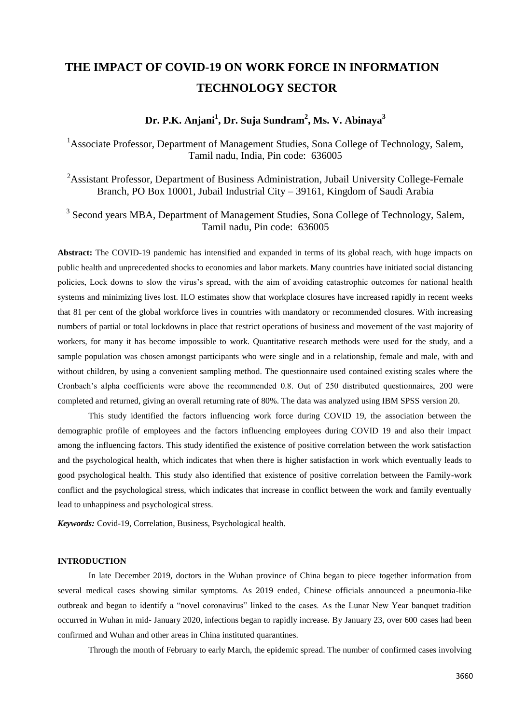# **THE IMPACT OF COVID-19 ON WORK FORCE IN INFORMATION TECHNOLOGY SECTOR**

# **Dr. P.K. Anjani<sup>1</sup> , Dr. Suja Sundram<sup>2</sup> , Ms. V. Abinaya<sup>3</sup>**

<sup>1</sup>Associate Professor, Department of Management Studies, Sona College of Technology, Salem, Tamil nadu, India, Pin code: 636005

<sup>2</sup>Assistant Professor, Department of Business Administration, Jubail University College-Female Branch, PO Box 10001, Jubail Industrial City – 39161, Kingdom of Saudi Arabia

<sup>3</sup> Second years MBA, Department of Management Studies, Sona College of Technology, Salem, Tamil nadu, Pin code: 636005

**Abstract:** The COVID-19 pandemic has intensified and expanded in terms of its global reach, with huge impacts on public health and unprecedented shocks to economies and labor markets. Many countries have initiated social distancing policies, Lock downs to slow the virus"s spread, with the aim of avoiding catastrophic outcomes for national health systems and minimizing lives lost. ILO estimates show that workplace closures have increased rapidly in recent weeks that 81 per cent of the global workforce lives in countries with mandatory or recommended closures. With increasing numbers of partial or total lockdowns in place that restrict operations of business and movement of the vast majority of workers, for many it has become impossible to work. Quantitative research methods were used for the study, and a sample population was chosen amongst participants who were single and in a relationship, female and male, with and without children, by using a convenient sampling method. The questionnaire used contained existing scales where the Cronbach"s alpha coefficients were above the recommended 0.8. Out of 250 distributed questionnaires, 200 were completed and returned, giving an overall returning rate of 80%. The data was analyzed using IBM SPSS version 20.

This study identified the factors influencing work force during COVID 19, the association between the demographic profile of employees and the factors influencing employees during COVID 19 and also their impact among the influencing factors. This study identified the existence of positive correlation between the work satisfaction and the psychological health, which indicates that when there is higher satisfaction in work which eventually leads to good psychological health. This study also identified that existence of positive correlation between the Family-work conflict and the psychological stress, which indicates that increase in conflict between the work and family eventually lead to unhappiness and psychological stress.

*Keywords:* Covid-19, Correlation, Business, Psychological health.

# **INTRODUCTION**

In late December 2019, doctors in the Wuhan province of China began to piece together information from several medical cases showing similar symptoms. As 2019 ended, Chinese officials announced a pneumonia-like outbreak and began to identify a "novel coronavirus" linked to the cases. As the Lunar New Year banquet tradition occurred in Wuhan in mid- January 2020, infections began to rapidly increase. By January 23, over 600 cases had been confirmed and Wuhan and other areas in China instituted quarantines.

Through the month of February to early March, the epidemic spread. The number of confirmed cases involving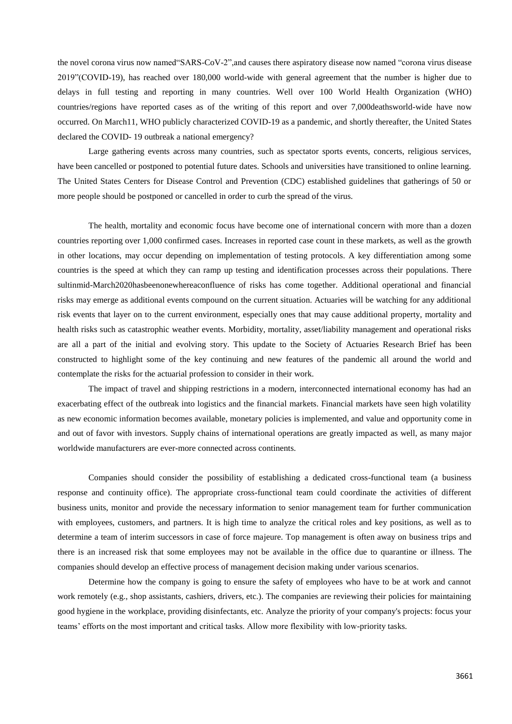the novel corona virus now named"SARS-CoV-2",and causes there aspiratory disease now named "corona virus disease 2019"(COVID-19), has reached over 180,000 world-wide with general agreement that the number is higher due to delays in full testing and reporting in many countries. Well over 100 World Health Organization (WHO) countries/regions have reported cases as of the writing of this report and over 7,000deathsworld-wide have now occurred. On March11, WHO publicly characterized COVID-19 as a pandemic, and shortly thereafter, the United States declared the COVID- 19 outbreak a national emergency?

Large gathering events across many countries, such as spectator sports events, concerts, religious services, have been cancelled or postponed to potential future dates. Schools and universities have transitioned to online learning. The United States Centers for Disease Control and Prevention (CDC) established guidelines that gatherings of 50 or more people should be postponed or cancelled in order to curb the spread of the virus.

The health, mortality and economic focus have become one of international concern with more than a dozen countries reporting over 1,000 confirmed cases. Increases in reported case count in these markets, as well as the growth in other locations, may occur depending on implementation of testing protocols. A key differentiation among some countries is the speed at which they can ramp up testing and identification processes across their populations. There sultinmid-March2020hasbeenonewhereaconfluence of risks has come together. Additional operational and financial risks may emerge as additional events compound on the current situation. Actuaries will be watching for any additional risk events that layer on to the current environment, especially ones that may cause additional property, mortality and health risks such as catastrophic weather events. Morbidity, mortality, asset/liability management and operational risks are all a part of the initial and evolving story. This update to the Society of Actuaries Research Brief has been constructed to highlight some of the key continuing and new features of the pandemic all around the world and contemplate the risks for the actuarial profession to consider in their work.

The impact of travel and shipping restrictions in a modern, interconnected international economy has had an exacerbating effect of the outbreak into logistics and the financial markets. Financial markets have seen high volatility as new economic information becomes available, monetary policies is implemented, and value and opportunity come in and out of favor with investors. Supply chains of international operations are greatly impacted as well, as many major worldwide manufacturers are ever-more connected across continents.

Companies should consider the possibility of establishing a dedicated cross-functional team (a business response and continuity office). The appropriate cross-functional team could coordinate the activities of different business units, monitor and provide the necessary information to senior management team for further communication with employees, customers, and partners. It is high time to analyze the critical roles and key positions, as well as to determine a team of interim successors in case of force majeure. Top management is often away on business trips and there is an increased risk that some employees may not be available in the office due to quarantine or illness. The companies should develop an effective process of management decision making under various scenarios.

Determine how the company is going to ensure the safety of employees who have to be at work and cannot work remotely (e.g., shop assistants, cashiers, drivers, etc.). The companies are reviewing their policies for maintaining good hygiene in the workplace, providing disinfectants, etc. Analyze the priority of your company's projects: focus your teams" efforts on the most important and critical tasks. Allow more flexibility with low-priority tasks.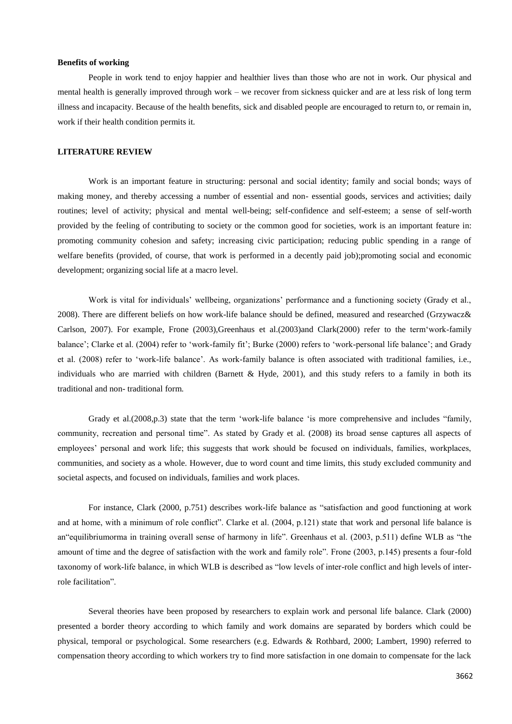### **Benefits of working**

People in work tend to enjoy happier and healthier lives than those who are not in work. Our physical and mental health is generally improved through work – we recover from sickness quicker and are at less risk of long term illness and incapacity. Because of the health benefits, sick and disabled people are encouraged to return to, or remain in, work if their health condition permits it.

#### **LITERATURE REVIEW**

Work is an important feature in structuring: personal and social identity; family and social bonds; ways of making money, and thereby accessing a number of essential and non- essential goods, services and activities; daily routines; level of activity; physical and mental well-being; self-confidence and self-esteem; a sense of self-worth provided by the feeling of contributing to society or the common good for societies, work is an important feature in: promoting community cohesion and safety; increasing civic participation; reducing public spending in a range of welfare benefits (provided, of course, that work is performed in a decently paid job);promoting social and economic development; organizing social life at a macro level.

Work is vital for individuals" wellbeing, organizations" performance and a functioning society (Grady et al., 2008). There are different beliefs on how work-life balance should be defined, measured and researched (Grzywacz& Carlson, 2007). For example, Frone (2003),Greenhaus et al.(2003)and Clark(2000) refer to the term"work-family balance'; Clarke et al. (2004) refer to 'work-family fit'; Burke (2000) refers to 'work-personal life balance'; and Grady et al. (2008) refer to "work-life balance". As work-family balance is often associated with traditional families, i.e., individuals who are married with children (Barnett & Hyde, 2001), and this study refers to a family in both its traditional and non- traditional form.

Grady et al.(2008,p.3) state that the term 'work-life balance 'is more comprehensive and includes "family, community, recreation and personal time". As stated by Grady et al. (2008) its broad sense captures all aspects of employees' personal and work life; this suggests that work should be focused on individuals, families, workplaces, communities, and society as a whole. However, due to word count and time limits, this study excluded community and societal aspects, and focused on individuals, families and work places.

For instance, Clark (2000, p.751) describes work-life balance as "satisfaction and good functioning at work and at home, with a minimum of role conflict". Clarke et al. (2004, p.121) state that work and personal life balance is an"equilibriumorma in training overall sense of harmony in life". Greenhaus et al. (2003, p.511) define WLB as "the amount of time and the degree of satisfaction with the work and family role". Frone (2003, p.145) presents a four-fold taxonomy of work-life balance, in which WLB is described as "low levels of inter-role conflict and high levels of interrole facilitation".

Several theories have been proposed by researchers to explain work and personal life balance. Clark (2000) presented a border theory according to which family and work domains are separated by borders which could be physical, temporal or psychological. Some researchers (e.g. Edwards & Rothbard, 2000; Lambert, 1990) referred to compensation theory according to which workers try to find more satisfaction in one domain to compensate for the lack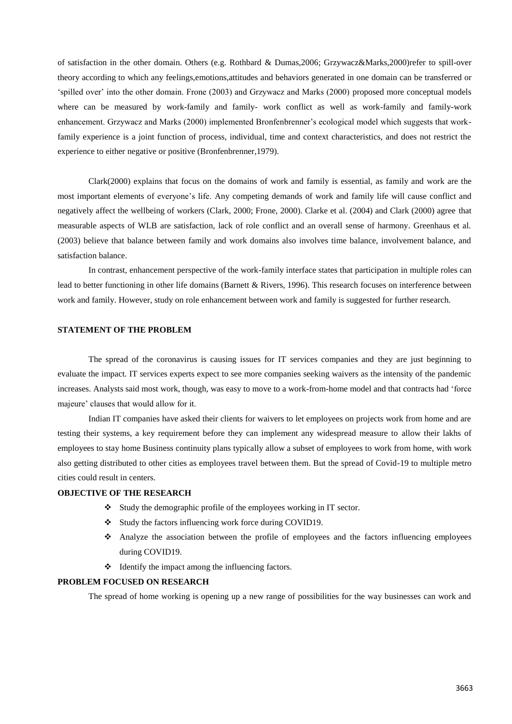of satisfaction in the other domain. Others (e.g. Rothbard & Dumas,2006; Grzywacz&Marks,2000)refer to spill-over theory according to which any feelings,emotions,attitudes and behaviors generated in one domain can be transferred or "spilled over" into the other domain. Frone (2003) and Grzywacz and Marks (2000) proposed more conceptual models where can be measured by work-family and family- work conflict as well as work-family and family-work enhancement. Grzywacz and Marks (2000) implemented Bronfenbrenner's ecological model which suggests that workfamily experience is a joint function of process, individual, time and context characteristics, and does not restrict the experience to either negative or positive (Bronfenbrenner,1979).

Clark(2000) explains that focus on the domains of work and family is essential, as family and work are the most important elements of everyone"s life. Any competing demands of work and family life will cause conflict and negatively affect the wellbeing of workers (Clark, 2000; Frone, 2000). Clarke et al. (2004) and Clark (2000) agree that measurable aspects of WLB are satisfaction, lack of role conflict and an overall sense of harmony. Greenhaus et al. (2003) believe that balance between family and work domains also involves time balance, involvement balance, and satisfaction balance.

In contrast, enhancement perspective of the work-family interface states that participation in multiple roles can lead to better functioning in other life domains (Barnett & Rivers, 1996). This research focuses on interference between work and family. However, study on role enhancement between work and family is suggested for further research.

# **STATEMENT OF THE PROBLEM**

The spread of the coronavirus is causing issues for IT services companies and they are just beginning to evaluate the impact. IT services experts expect to see more companies seeking waivers as the intensity of the pandemic increases. Analysts said most work, though, was easy to move to a work-from-home model and that contracts had "force majeure' clauses that would allow for it.

Indian IT companies have asked their clients for waivers to let employees on projects work from home and are testing their systems, a key requirement before they can implement any widespread measure to allow their lakhs of employees to stay home Business continuity plans typically allow a subset of employees to work from home, with work also getting distributed to other cities as employees travel between them. But the spread of Covid-19 to multiple metro cities could result in centers.

### **OBJECTIVE OF THE RESEARCH**

- Study the demographic profile of the employees working in IT sector.
- Study the factors influencing work force during COVID19.
- Analyze the association between the profile of employees and the factors influencing employees during COVID19.
- $\triangleleft$  Identify the impact among the influencing factors.

### **PROBLEM FOCUSED ON RESEARCH**

The spread of home working is opening up a new range of possibilities for the way businesses can work and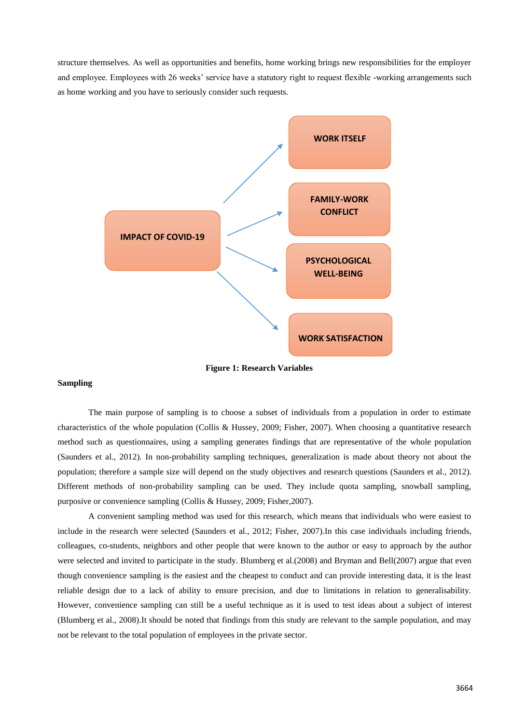structure themselves. As well as opportunities and benefits, home working brings new responsibilities for the employer and employee. Employees with 26 weeks' service have a statutory right to request flexible -working arrangements such as home working and you have to seriously consider such requests.



**Figure 1: Research Variables**

## **Sampling**

The main purpose of sampling is to choose a subset of individuals from a population in order to estimate characteristics of the whole population (Collis & Hussey, 2009; Fisher, 2007). When choosing a quantitative research method such as questionnaires, using a sampling generates findings that are representative of the whole population (Saunders et al., 2012). In non-probability sampling techniques, generalization is made about theory not about the population; therefore a sample size will depend on the study objectives and research questions (Saunders et al., 2012). Different methods of non-probability sampling can be used. They include quota sampling, snowball sampling, purposive or convenience sampling (Collis & Hussey, 2009; Fisher,2007).

A convenient sampling method was used for this research, which means that individuals who were easiest to include in the research were selected (Saunders et al., 2012; Fisher, 2007).In this case individuals including friends, colleagues, co-students, neighbors and other people that were known to the author or easy to approach by the author were selected and invited to participate in the study. Blumberg et al.(2008) and Bryman and Bell(2007) argue that even though convenience sampling is the easiest and the cheapest to conduct and can provide interesting data, it is the least reliable design due to a lack of ability to ensure precision, and due to limitations in relation to generalisability. However, convenience sampling can still be a useful technique as it is used to test ideas about a subject of interest (Blumberg et al., 2008).It should be noted that findings from this study are relevant to the sample population, and may not be relevant to the total population of employees in the private sector.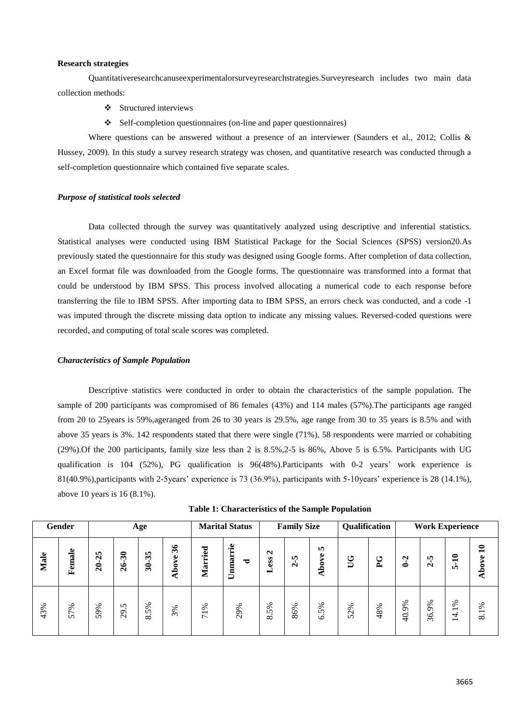## **Research strategies**

Quantitativeresearchcanuseexperimentalorsurveyresearchstrategies.Surveyresearch includes two main data collection methods:

- Structured interviews
- Self-completion questionnaires (on-line and paper questionnaires)

Where questions can be answered without a presence of an interviewer (Saunders et al., 2012; Collis & Hussey, 2009). In this study a survey research strategy was chosen, and quantitative research was conducted through a self-completion questionnaire which contained five separate scales.

### *Purpose of statistical tools selected*

Data collected through the survey was quantitatively analyzed using descriptive and inferential statistics. Statistical analyses were conducted using IBM Statistical Package for the Social Sciences (SPSS) version20.As previously stated the questionnaire for this study was designed using Google forms. After completion of data collection, an Excel format file was downloaded from the Google forms. The questionnaire was transformed into a format that could be understood by IBM SPSS. This process involved allocating a numerical code to each response before transferring the file to IBM SPSS. After importing data to IBM SPSS, an errors check was conducted, and a code -1 was imputed through the discrete missing data option to indicate any missing values. Reversed-coded questions were recorded, and computing of total scale scores was completed.

### *Characteristics of Sample Population*

Descriptive statistics were conducted in order to obtain the characteristics of the sample population. The sample of 200 participants was compromised of 86 females (43%) and 114 males (57%).The participants age ranged from 20 to 25years is 59%,ageranged from 26 to 30 years is 29.5%, age range from 30 to 35 years is 8.5% and with above 35 years is 3%. 142 respondents stated that there were single (71%), 58 respondents were married or cohabiting (29%).Of the 200 participants, family size less than 2 is 8.5%,2-5 is 86%, Above 5 is 6.5%. Participants with UG qualification is 104 (52%), PG qualification is 96(48%).Participants with 0-2 years' work experience is 81(40.9%),participants with 2-5years" experience is 73 (36.9%), participants with 5-10years" experience is 28 (14.1%), above 10 years is 16 (8.1%).

|      | Gender |                                             |                                        | Age                           |                                   | <b>Marital Status</b> |               | <b>Family Size</b>        |         | Qualification          |     | <b>Work Experience</b> |       |          |                        |                                   |
|------|--------|---------------------------------------------|----------------------------------------|-------------------------------|-----------------------------------|-----------------------|---------------|---------------------------|---------|------------------------|-----|------------------------|-------|----------|------------------------|-----------------------------------|
| Male | Female | In.<br>$\mathbf{\tilde{p}}$<br>$\mathbf{z}$ | $\boldsymbol{\mathcal{E}}$<br>$\delta$ | 35<br>$\boldsymbol{\hat{30}}$ | 36<br>$\bullet$<br>$\bullet$<br>≏ | Married               | Unnarrie<br>ಕ | $\mathbf{\Omega}$<br>Less | $2 - 5$ | <b>In</b><br>ye<br>Abo | UG  | P <sub>G</sub>         | $0-2$ | ပုံ<br>Ń | $5-10$                 | $\mathbf{1}$<br>$\bullet$<br>Abov |
| 43%  | 57%    | 59%                                         | $\sim$<br>$\sigma$<br>$\sim$           | 5%<br>$\infty$                | 3%                                | ℅<br>$\overline{7}$   | 29%           | 8.5%                      | 86%     | 5%<br>ত                | 52% | 48%                    | 40.9% | 36.9%    | 1%<br>$\overline{4}$ . | 1%<br>$\infty$                    |

**Table 1: Characteristics of the Sample Population**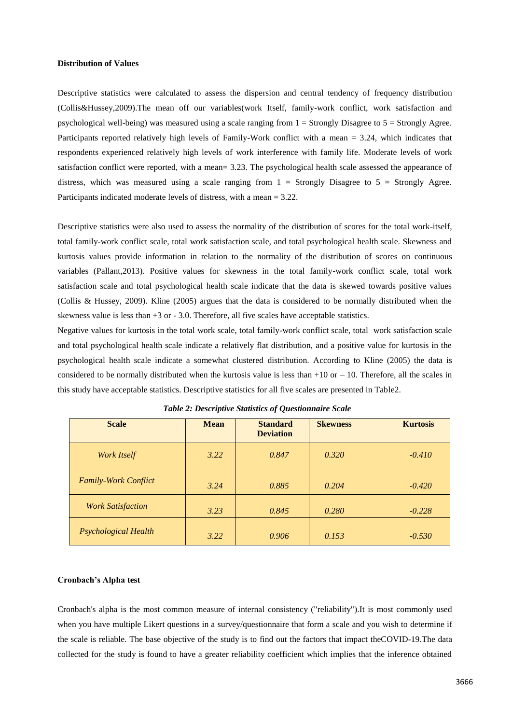### **Distribution of Values**

Descriptive statistics were calculated to assess the dispersion and central tendency of frequency distribution (Collis&Hussey,2009).The mean off our variables(work Itself, family-work conflict, work satisfaction and psychological well-being) was measured using a scale ranging from 1 = Strongly Disagree to 5 = Strongly Agree. Participants reported relatively high levels of Family-Work conflict with a mean = 3.24, which indicates that respondents experienced relatively high levels of work interference with family life. Moderate levels of work satisfaction conflict were reported, with a mean= 3.23. The psychological health scale assessed the appearance of distress, which was measured using a scale ranging from  $1 =$  Strongly Disagree to  $5 =$  Strongly Agree. Participants indicated moderate levels of distress, with a mean = 3.22.

Descriptive statistics were also used to assess the normality of the distribution of scores for the total work-itself, total family-work conflict scale, total work satisfaction scale, and total psychological health scale. Skewness and kurtosis values provide information in relation to the normality of the distribution of scores on continuous variables (Pallant,2013). Positive values for skewness in the total family-work conflict scale, total work satisfaction scale and total psychological health scale indicate that the data is skewed towards positive values (Collis & Hussey, 2009). Kline (2005) argues that the data is considered to be normally distributed when the skewness value is less than  $+3$  or  $-3.0$ . Therefore, all five scales have acceptable statistics.

Negative values for kurtosis in the total work scale, total family-work conflict scale, total work satisfaction scale and total psychological health scale indicate a relatively flat distribution, and a positive value for kurtosis in the psychological health scale indicate a somewhat clustered distribution. According to Kline (2005) the data is considered to be normally distributed when the kurtosis value is less than  $+10$  or  $-10$ . Therefore, all the scales in this study have acceptable statistics. Descriptive statistics for all five scales are presented in Table2.

| <b>Scale</b>                | <b>Mean</b> | <b>Standard</b><br><b>Deviation</b> | <b>Skewness</b> | <b>Kurtosis</b> |
|-----------------------------|-------------|-------------------------------------|-----------------|-----------------|
| <b>Work Itself</b>          | 3.22        | 0.847                               | 0.320           | $-0.410$        |
| <b>Family-Work Conflict</b> | 3.24        | 0.885                               | 0.204           | $-0.420$        |
| <b>Work Satisfaction</b>    | 3.23        | 0.845                               | 0.280           | $-0.228$        |
| <b>Psychological Health</b> | 3.22        | 0.906                               | 0.153           | $-0.530$        |

*Table 2: Descriptive Statistics of Questionnaire Scale*

### **Cronbach's Alpha test**

Cronbach's alpha is the most common measure of internal consistency ("reliability").It is most commonly used when you have multiple Likert questions in a survey/questionnaire that form a scale and you wish to determine if the scale is reliable. The base objective of the study is to find out the factors that impact theCOVID-19.The data collected for the study is found to have a greater reliability coefficient which implies that the inference obtained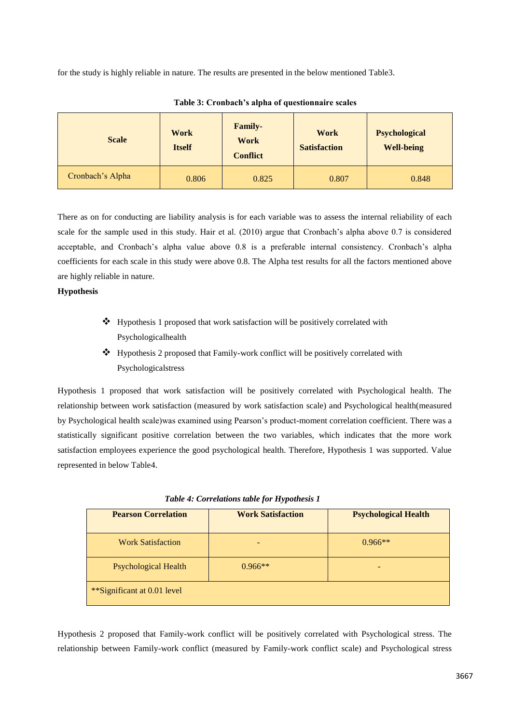for the study is highly reliable in nature. The results are presented in the below mentioned Table3.

| <b>Scale</b>     | <b>Work</b><br><b>Itself</b> | <b>Family-</b><br>Work<br><b>Conflict</b> | Work<br><b>Satisfaction</b> | <b>Psychological</b><br><b>Well-being</b> |
|------------------|------------------------------|-------------------------------------------|-----------------------------|-------------------------------------------|
| Cronbach's Alpha | 0.806                        | 0.825                                     | 0.807                       | 0.848                                     |

**Table 3: Cronbach's alpha of questionnaire scales**

There as on for conducting are liability analysis is for each variable was to assess the internal reliability of each scale for the sample used in this study. Hair et al. (2010) argue that Cronbach"s alpha above 0.7 is considered acceptable, and Cronbach"s alpha value above 0.8 is a preferable internal consistency. Cronbach"s alpha coefficients for each scale in this study were above 0.8. The Alpha test results for all the factors mentioned above are highly reliable in nature.

# **Hypothesis**

- $\triangleleft$  Hypothesis 1 proposed that work satisfaction will be positively correlated with Psychologicalhealth
- Hypothesis 2 proposed that Family-work conflict will be positively correlated with Psychologicalstress

Hypothesis 1 proposed that work satisfaction will be positively correlated with Psychological health. The relationship between work satisfaction (measured by work satisfaction scale) and Psychological health(measured by Psychological health scale)was examined using Pearson"s product-moment correlation coefficient. There was a statistically significant positive correlation between the two variables, which indicates that the more work satisfaction employees experience the good psychological health. Therefore, Hypothesis 1 was supported. Value represented in below Table4.

| <b>Pearson Correlation</b>  | <b>Work Satisfaction</b> | <b>Psychological Health</b> |
|-----------------------------|--------------------------|-----------------------------|
| <b>Work Satisfaction</b>    |                          | $0.966**$                   |
| <b>Psychological Health</b> | $0.966**$                |                             |
| **Significant at 0.01 level |                          |                             |

*Table 4: Correlations table for Hypothesis 1*

Hypothesis 2 proposed that Family-work conflict will be positively correlated with Psychological stress. The relationship between Family-work conflict (measured by Family-work conflict scale) and Psychological stress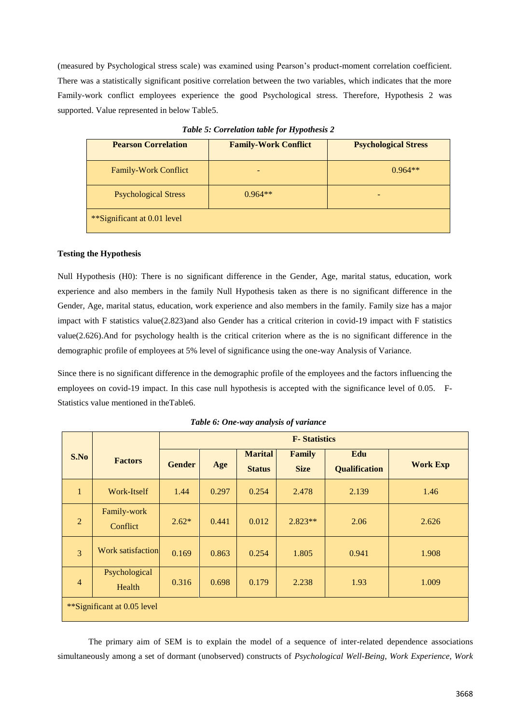(measured by Psychological stress scale) was examined using Pearson"s product-moment correlation coefficient. There was a statistically significant positive correlation between the two variables, which indicates that the more Family-work conflict employees experience the good Psychological stress. Therefore, Hypothesis 2 was supported. Value represented in below Table5.

| <b>Pearson Correlation</b>  | <b>Family-Work Conflict</b> | <b>Psychological Stress</b> |
|-----------------------------|-----------------------------|-----------------------------|
| <b>Family-Work Conflict</b> |                             | $0.964**$                   |
| <b>Psychological Stress</b> | $0.964**$                   |                             |
| **Significant at 0.01 level |                             |                             |

*Table 5: Correlation table for Hypothesis 2*

### **Testing the Hypothesis**

Null Hypothesis (H0): There is no significant difference in the Gender, Age, marital status, education, work experience and also members in the family Null Hypothesis taken as there is no significant difference in the Gender, Age, marital status, education, work experience and also members in the family. Family size has a major impact with F statistics value(2.823)and also Gender has a critical criterion in covid-19 impact with F statistics value(2.626).And for psychology health is the critical criterion where as the is no significant difference in the demographic profile of employees at 5% level of significance using the one-way Analysis of Variance.

Since there is no significant difference in the demographic profile of the employees and the factors influencing the employees on covid-19 impact. In this case null hypothesis is accepted with the significance level of 0.05. F-Statistics value mentioned in theTable6.

|                             |                          | <b>F</b> -Statistics |       |                                 |                              |                             |                 |  |  |
|-----------------------------|--------------------------|----------------------|-------|---------------------------------|------------------------------|-----------------------------|-----------------|--|--|
| S.No                        | <b>Factors</b>           | <b>Gender</b>        | Age   | <b>Marital</b><br><b>Status</b> | <b>Family</b><br><b>Size</b> | Edu<br><b>Qualification</b> | <b>Work Exp</b> |  |  |
| $\mathbf{1}$                | Work-Itself              | 1.44                 | 0.297 | 0.254                           | 2.478                        | 2.139                       | 1.46            |  |  |
| $\overline{2}$              | Family-work<br>Conflict  | $2.62*$              | 0.441 | 0.012                           | $2.823**$                    | 2.06                        | 2.626           |  |  |
| $\overline{3}$              | <b>Work satisfaction</b> | 0.169                | 0.863 | 0.254                           | 1.805                        | 0.941                       | 1.908           |  |  |
| $\overline{4}$              | Psychological<br>Health  | 0.316                | 0.698 | 0.179                           | 2.238                        | 1.93                        | 1.009           |  |  |
| **Significant at 0.05 level |                          |                      |       |                                 |                              |                             |                 |  |  |

*Table 6: One-way analysis of variance*

The primary aim of SEM is to explain the model of a sequence of inter-related dependence associations simultaneously among a set of dormant (unobserved) constructs of *Psychological Well-Being*, *Work Experience, Work*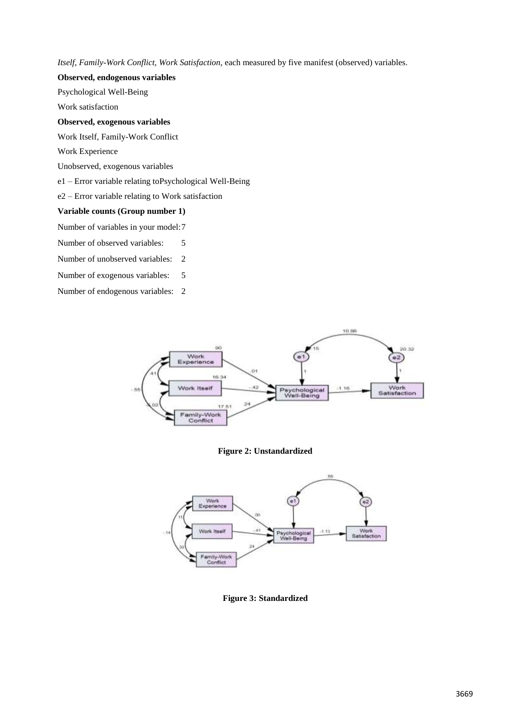*Itself, Family-Work Conflict, Work Satisfaction*, each measured by five manifest (observed) variables.

### **Observed, endogenous variables**

Psychological Well-Being

Work satisfaction

# **Observed, exogenous variables**

Work Itself, Family-Work Conflict

Work Experience

Unobserved, exogenous variables

e1 – Error variable relating toPsychological Well-Being

e2 – Error variable relating to Work satisfaction

## **Variable counts (Group number 1)**

Number of variables in your model:7

Number of observed variables: 5

Number of unobserved variables: 2

Number of exogenous variables: 5

Number of endogenous variables: 2



### **Figure 2: Unstandardized**



**Figure 3: Standardized**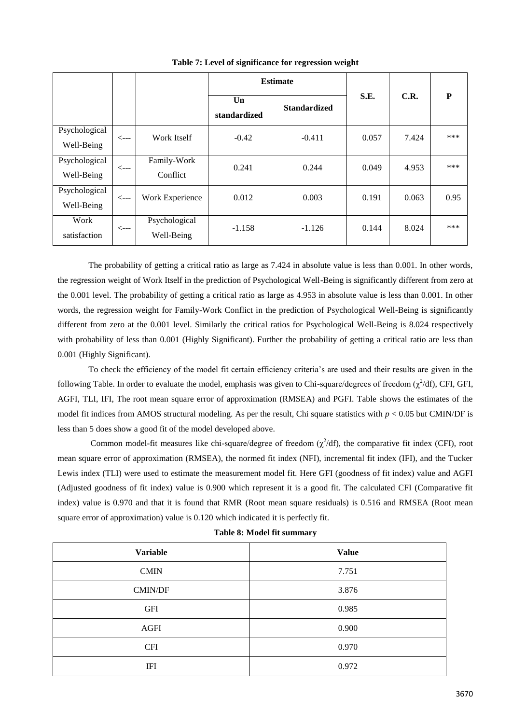|                             |                  |                             | <b>Estimate</b>    |                     |       |       |      |  |
|-----------------------------|------------------|-----------------------------|--------------------|---------------------|-------|-------|------|--|
|                             |                  |                             | Un<br>standardized | <b>Standardized</b> | S.E.  | C.R.  | P    |  |
| Psychological<br>Well-Being | $\leftarrow$ --- | Work Itself                 | $-0.42$            | $-0.411$            | 0.057 | 7.424 | ***  |  |
| Psychological<br>Well-Being | $\leftarrow$ --  | Family-Work<br>Conflict     | 0.241              | 0.244               | 0.049 | 4.953 | ***  |  |
| Psychological<br>Well-Being | $\leftarrow$ --- | Work Experience             | 0.012              | 0.003               | 0.191 | 0.063 | 0.95 |  |
| Work<br>satisfaction        | $\leftarrow$ --- | Psychological<br>Well-Being | $-1.158$           | $-1.126$            | 0.144 | 8.024 | ***  |  |

**Table 7: Level of significance for regression weight**

The probability of getting a critical ratio as large as 7.424 in absolute value is less than 0.001. In other words, the regression weight of Work Itself in the prediction of Psychological Well-Being is significantly different from zero at the 0.001 level. The probability of getting a critical ratio as large as 4.953 in absolute value is less than 0.001. In other words, the regression weight for Family-Work Conflict in the prediction of Psychological Well-Being is significantly different from zero at the 0.001 level. Similarly the critical ratios for Psychological Well-Being is 8.024 respectively with probability of less than 0.001 (Highly Significant). Further the probability of getting a critical ratio are less than 0.001 (Highly Significant).

To check the efficiency of the model fit certain efficiency criteria"s are used and their results are given in the following Table. In order to evaluate the model, emphasis was given to Chi-square/degrees of freedom  $(\chi^2/df)$ , CFI, GFI, AGFI, TLI, IFI, The root mean square error of approximation (RMSEA) and PGFI. Table shows the estimates of the model fit indices from AMOS structural modeling. As per the result, Chi square statistics with  $p < 0.05$  but CMIN/DF is less than 5 does show a good fit of the model developed above.

Common model-fit measures like chi-square/degree of freedom  $(\chi^2/df)$ , the comparative fit index (CFI), root mean square error of approximation (RMSEA), the normed fit index (NFI), incremental fit index (IFI), and the Tucker Lewis index (TLI) were used to estimate the measurement model fit. Here GFI (goodness of fit index) value and AGFI (Adjusted goodness of fit index) value is 0.900 which represent it is a good fit. The calculated CFI (Comparative fit index) value is 0.970 and that it is found that RMR (Root mean square residuals) is 0.516 and RMSEA (Root mean square error of approximation) value is 0.120 which indicated it is perfectly fit.

| <b>Variable</b> | <b>Value</b> |
|-----------------|--------------|
| <b>CMIN</b>     | 7.751        |
| <b>CMIN/DF</b>  | 3.876        |
| <b>GFI</b>      | 0.985        |
| <b>AGFI</b>     | 0.900        |
| <b>CFI</b>      | 0.970        |
| <b>IFI</b>      | 0.972        |
|                 |              |

**Table 8: Model fit summary**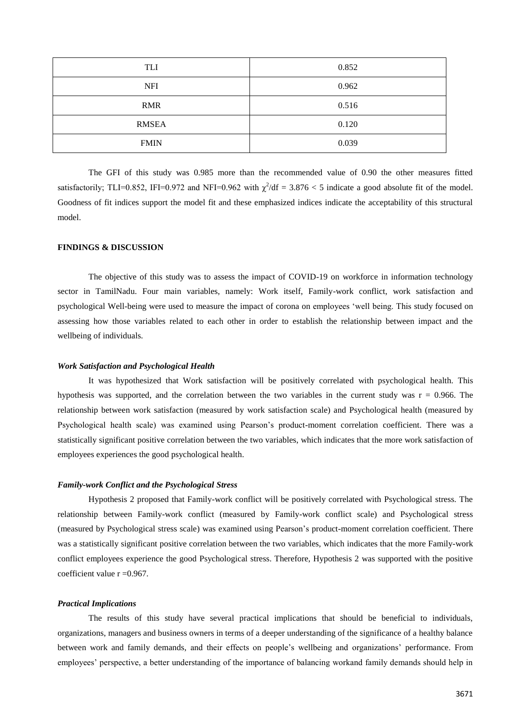| TLI          | 0.852 |
|--------------|-------|
| <b>NFI</b>   | 0.962 |
| <b>RMR</b>   | 0.516 |
| <b>RMSEA</b> | 0.120 |
| <b>FMIN</b>  | 0.039 |

The GFI of this study was 0.985 more than the recommended value of 0.90 the other measures fitted satisfactorily; TLI=0.852, IFI=0.972 and NFI=0.962 with  $\chi^2/df = 3.876 < 5$  indicate a good absolute fit of the model. Goodness of fit indices support the model fit and these emphasized indices indicate the acceptability of this structural model.

### **FINDINGS & DISCUSSION**

The objective of this study was to assess the impact of COVID-19 on workforce in information technology sector in TamilNadu. Four main variables, namely: Work itself, Family-work conflict, work satisfaction and psychological Well-being were used to measure the impact of corona on employees "well being. This study focused on assessing how those variables related to each other in order to establish the relationship between impact and the wellbeing of individuals.

#### *Work Satisfaction and Psychological Health*

It was hypothesized that Work satisfaction will be positively correlated with psychological health. This hypothesis was supported, and the correlation between the two variables in the current study was  $r = 0.966$ . The relationship between work satisfaction (measured by work satisfaction scale) and Psychological health (measured by Psychological health scale) was examined using Pearson"s product-moment correlation coefficient. There was a statistically significant positive correlation between the two variables, which indicates that the more work satisfaction of employees experiences the good psychological health.

### *Family-work Conflict and the Psychological Stress*

Hypothesis 2 proposed that Family-work conflict will be positively correlated with Psychological stress. The relationship between Family-work conflict (measured by Family-work conflict scale) and Psychological stress (measured by Psychological stress scale) was examined using Pearson"s product-moment correlation coefficient. There was a statistically significant positive correlation between the two variables, which indicates that the more Family-work conflict employees experience the good Psychological stress. Therefore, Hypothesis 2 was supported with the positive coefficient value  $r = 0.967$ .

### *Practical Implications*

The results of this study have several practical implications that should be beneficial to individuals, organizations, managers and business owners in terms of a deeper understanding of the significance of a healthy balance between work and family demands, and their effects on people"s wellbeing and organizations" performance. From employees" perspective, a better understanding of the importance of balancing workand family demands should help in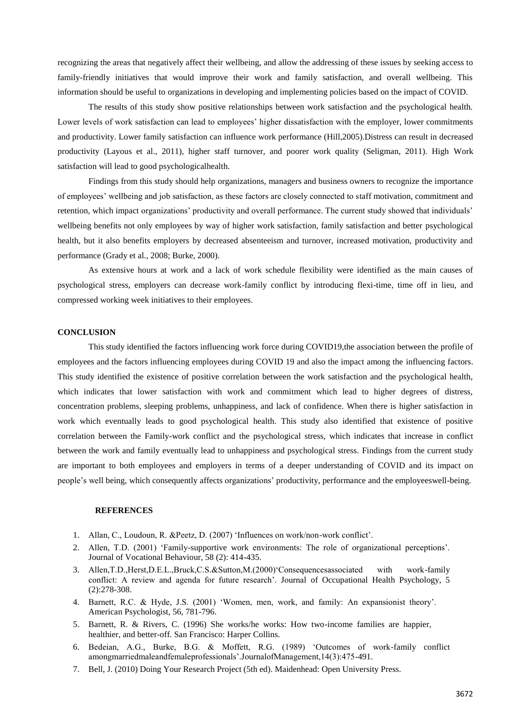recognizing the areas that negatively affect their wellbeing, and allow the addressing of these issues by seeking access to family-friendly initiatives that would improve their work and family satisfaction, and overall wellbeing. This information should be useful to organizations in developing and implementing policies based on the impact of COVID.

The results of this study show positive relationships between work satisfaction and the psychological health. Lower levels of work satisfaction can lead to employees' higher dissatisfaction with the employer, lower commitments and productivity. Lower family satisfaction can influence work performance (Hill,2005).Distress can result in decreased productivity (Layous et al., 2011), higher staff turnover, and poorer work quality (Seligman, 2011). High Work satisfaction will lead to good psychologicalhealth.

Findings from this study should help organizations, managers and business owners to recognize the importance of employees" wellbeing and job satisfaction, as these factors are closely connected to staff motivation, commitment and retention, which impact organizations' productivity and overall performance. The current study showed that individuals' wellbeing benefits not only employees by way of higher work satisfaction, family satisfaction and better psychological health, but it also benefits employers by decreased absenteeism and turnover, increased motivation, productivity and performance (Grady et al., 2008; Burke, 2000).

As extensive hours at work and a lack of work schedule flexibility were identified as the main causes of psychological stress, employers can decrease work-family conflict by introducing flexi-time, time off in lieu, and compressed working week initiatives to their employees.

#### **CONCLUSION**

This study identified the factors influencing work force during COVID19,the association between the profile of employees and the factors influencing employees during COVID 19 and also the impact among the influencing factors. This study identified the existence of positive correlation between the work satisfaction and the psychological health, which indicates that lower satisfaction with work and commitment which lead to higher degrees of distress, concentration problems, sleeping problems, unhappiness, and lack of confidence. When there is higher satisfaction in work which eventually leads to good psychological health. This study also identified that existence of positive correlation between the Family-work conflict and the psychological stress, which indicates that increase in conflict between the work and family eventually lead to unhappiness and psychological stress. Findings from the current study are important to both employees and employers in terms of a deeper understanding of COVID and its impact on people"s well being, which consequently affects organizations" productivity, performance and the employeeswell-being.

#### **REFERENCES**

- 1. Allan, C., Loudoun, R. &Peetz, D. (2007) "Influences on work/non-work conflict".
- 2. Allen, T.D. (2001) "Family-supportive work environments: The role of organizational perceptions". Journal of Vocational Behaviour, 58 (2): 414-435.
- 3. Allen,T.D.,Herst,D.E.L.,Bruck,C.S.&Sutton,M.(2000)"Consequencesassociated with work-family conflict: A review and agenda for future research". Journal of Occupational Health Psychology, 5 (2):278-308.
- 4. Barnett, R.C. & Hyde, J.S. (2001) "Women, men, work, and family: An expansionist theory". American Psychologist, 56, 781-796.
- 5. Barnett, R. & Rivers, C. (1996) She works/he works: How two-income families are happier, healthier, and better-off. San Francisco: Harper Collins.
- 6. Bedeian, A.G., Burke, B.G. & Moffett, R.G. (1989) "Outcomes of work-family conflict amongmarriedmaleandfemaleprofessionals".JournalofManagement,14(3):475-491.
- 7. Bell, J. (2010) Doing Your Research Project (5th ed). Maidenhead: Open University Press.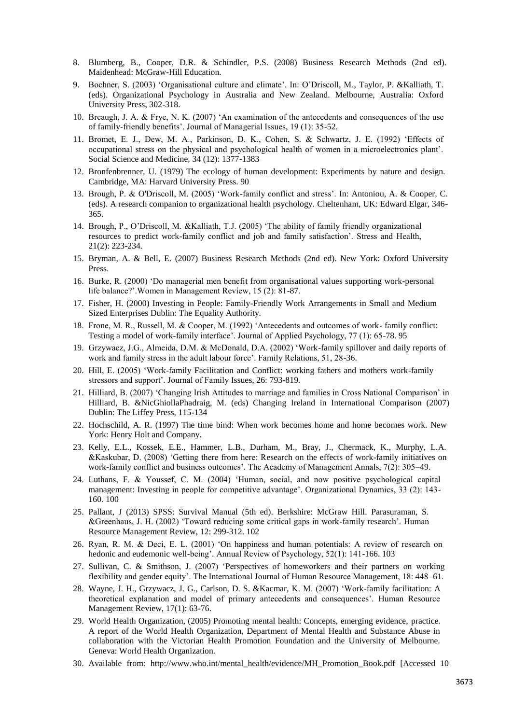- 8. Blumberg, B., Cooper, D.R. & Schindler, P.S. (2008) Business Research Methods (2nd ed). Maidenhead: McGraw-Hill Education.
- 9. Bochner, S. (2003) "Organisational culture and climate". In: O"Driscoll, M., Taylor, P. &Kalliath, T. (eds). Organizational Psychology in Australia and New Zealand. Melbourne, Australia: Oxford University Press, 302-318.
- 10. Breaugh, J. A. & Frye, N. K. (2007) "An examination of the antecedents and consequences of the use of family-friendly benefits". Journal of Managerial Issues, 19 (1): 35-52.
- 11. Bromet, E. J., Dew, M. A., Parkinson, D. K., Cohen, S. & Schwartz, J. E. (1992) "Effects of occupational stress on the physical and psychological health of women in a microelectronics plant". Social Science and Medicine, 34 (12): 1377-1383
- 12. Bronfenbrenner, U. (1979) The ecology of human development: Experiments by nature and design. Cambridge, MA: Harvard University Press. 90
- 13. Brough, P. & O'Driscoll, M. (2005) "Work-family conflict and stress". In: Antoniou, A. & Cooper, C. (eds). A research companion to organizational health psychology. Cheltenham, UK: Edward Elgar, 346- 365.
- 14. Brough, P., O"Driscoll, M. &Kalliath, T.J. (2005) "The ability of family friendly organizational resources to predict work-family conflict and job and family satisfaction". Stress and Health, 21(2): 223-234.
- 15. Bryman, A. & Bell, E. (2007) Business Research Methods (2nd ed). New York: Oxford University Press.
- 16. Burke, R. (2000) "Do managerial men benefit from organisational values supporting work-personal life balance?'.Women in Management Review, 15 (2): 81-87.
- 17. Fisher, H. (2000) Investing in People: Family-Friendly Work Arrangements in Small and Medium Sized Enterprises Dublin: The Equality Authority.
- 18. Frone, M. R., Russell, M. & Cooper, M. (1992) "Antecedents and outcomes of work- family conflict: Testing a model of work-family interface". Journal of Applied Psychology, 77 (1): 65-78. 95
- 19. Grzywacz, J.G., Almeida, D.M. & McDonald, D.A. (2002) "Work-family spillover and daily reports of work and family stress in the adult labour force'. Family Relations, 51, 28-36.
- 20. Hill, E. (2005) "Work-family Facilitation and Conflict: working fathers and mothers work-family stressors and support". Journal of Family Issues, 26: 793-819.
- 21. Hilliard, B. (2007) "Changing Irish Attitudes to marriage and families in Cross National Comparison" in Hilliard, B. &NicGhiollaPhadraig, M. (eds) Changing Ireland in International Comparison (2007) Dublin: The Liffey Press, 115-134
- 22. Hochschild, A. R. (1997) The time bind: When work becomes home and home becomes work. New York: Henry Holt and Company.
- 23. Kelly, E.L., Kossek, E.E., Hammer, L.B., Durham, M., Bray, J., Chermack, K., Murphy, L.A. &Kaskubar, D. (2008) "Getting there from here: Research on the effects of work-family initiatives on work-family conflict and business outcomes'. The Academy of Management Annals, 7(2): 305–49.
- 24. Luthans, F. & Youssef, C. M. (2004) "Human, social, and now positive psychological capital management: Investing in people for competitive advantage". Organizational Dynamics, 33 (2): 143- 160. 100
- 25. Pallant, J (2013) SPSS: Survival Manual (5th ed). Berkshire: McGraw Hill. Parasuraman, S. &Greenhaus, J. H. (2002) "Toward reducing some critical gaps in work-family research". Human Resource Management Review, 12: 299-312. 102
- 26. Ryan, R. M. & Deci, E. L. (2001) "On happiness and human potentials: A review of research on hedonic and eudemonic well-being". Annual Review of Psychology, 52(1): 141-166. 103
- 27. Sullivan, C. & Smithson, J. (2007) "Perspectives of homeworkers and their partners on working flexibility and gender equity". The International Journal of Human Resource Management, 18: 448–61.
- 28. Wayne, J. H., Grzywacz, J. G., Carlson, D. S. &Kacmar, K. M. (2007) "Work-family facilitation: A theoretical explanation and model of primary antecedents and consequences". Human Resource Management Review, 17(1): 63-76.
- 29. World Health Organization, (2005) Promoting mental health: Concepts, emerging evidence, practice. A report of the World Health Organization, Department of Mental Health and Substance Abuse in collaboration with the Victorian Health Promotion Foundation and the University of Melbourne. Geneva: World Health Organization.
- 30. Available [from: http://www.who.int/mental\\_health/evidence/MH\\_Promotion\\_Book.pdf](http://www.who.int/mental_health/evidence/MH_Promotion_Book.pdf) [Accessed 10